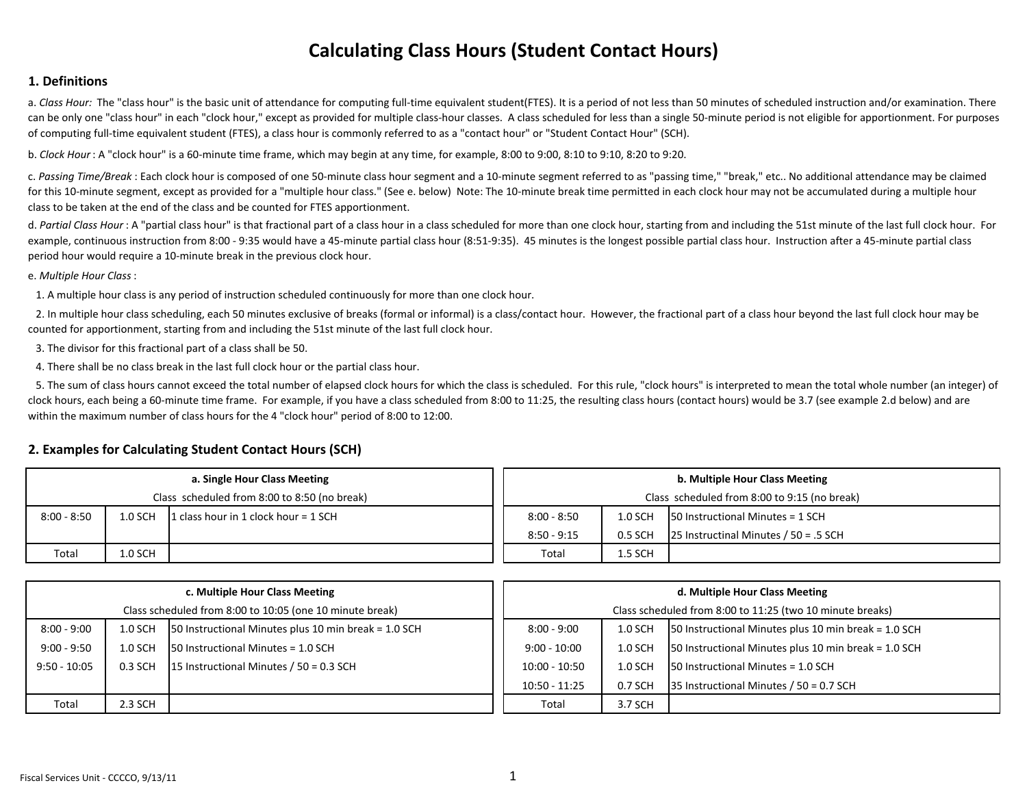## **Calculating Class Hours (Student Contact Hours)**

## **1. Definitions**

a. *Class Hour:* The "class hour" is the basic unit of attendance for computing full-time equivalent student(FTES). It is a period of not less than 50 minutes of scheduled instruction and/or examination. There can be only one "class hour" in each "clock hour," except as provided for multiple class‐hour classes. A class scheduled for less than a single 50‐minute period is not eligible for apportionment. For purposes of computing full‐time equivalent student (FTES), <sup>a</sup> class hour is commonly referred to as <sup>a</sup> "contact hour" or "Student Contact Hour" (SCH).

b. *Clock Hour* : A "clock hour" is <sup>a</sup> 60‐minute time frame, which may begin at any time, for example, 8:00 to 9:00, 8:10 to 9:10, 8:20 to 9:20.

c. *Passing Time/Break* : Each clock hour is composed of one 50‐minute class hour segment and <sup>a</sup> 10‐minute segment referred to as "passing time," "break," etc.. No additional attendance may be claimed for this 10-minute segment, except as provided for a "multiple hour class." (See e. below) Note: The 10-minute break time permitted in each clock hour may not be accumulated during a multiple hour class to be taken at the end of the class and be counted for FTES apportionment.

d. Partial Class Hour : A "partial class hour" is that fractional part of a class hour in a class scheduled for more than one clock hour, starting from and including the 51st minute of the last full clock hour. For example, continuous instruction from 8:00 - 9:35 would have a 45-minute partial class hour (8:51-9:35). 45 minutes is the longest possible partial class hour. Instruction after a 45-minute partial class period hour would require <sup>a</sup> 10‐minute break in the previous clock hour.

e. *Multiple Hour Class*:

1. A multiple hour class is any period of instruction scheduled continuously for more than one clock hour.

2. In multiple hour class scheduling, each 50 minutes exclusive of breaks (formal or informal) is <sup>a</sup> class/contact hour. However, the fractional part of <sup>a</sup> class hour beyond the last full clock hour may be counted for apportionment, starting from and including the 51st minute of the last full clock hour.

3. The divisor for this fractional part of <sup>a</sup> class shall be 50.

4. There shall be no class break in the last full clock hour or the partial class hour.

5. The sum of class hours cannot exceed the total number of elapsed clock hours for which the class is scheduled. For this rule, "clock hours" is interpreted to mean the total whole number (an integer) of clock hours, each being a 60-minute time frame. For example, if you have a class scheduled from 8:00 to 11:25, the resulting class hours (contact hours) would be 3.7 (see example 2.d below) and are within the maximum number of class hours for the 4 "clock hour" period of 8:00 to 12:00.

## **2. Examples for Calculating Student Contact Hours (SCH)**

|               |           | a. Single Hour Class Meeting                 | b. Multiple Hour Class Meeting               |                                               |                                         |  |  |  |
|---------------|-----------|----------------------------------------------|----------------------------------------------|-----------------------------------------------|-----------------------------------------|--|--|--|
|               |           | Class scheduled from 8:00 to 8:50 (no break) | Class scheduled from 8:00 to 9:15 (no break) |                                               |                                         |  |  |  |
| $8:00 - 8:50$ | 1.0 SCH   | 1 class hour in 1 clock hour = $1$ SCH       | $8:00 - 8:50$                                | $50$ Instructional Minutes = 1 SCH<br>1.0 SCH |                                         |  |  |  |
|               |           |                                              | $8:50 - 9:15$                                | 0.5 SCH                                       | 25 Instructinal Minutes $/ 50 = .5$ SCH |  |  |  |
| Total         | $1.0$ SCH |                                              | Total                                        | 1.5 SCH                                       |                                         |  |  |  |

|                |           | c. Multiple Hour Class Meeting                           | d. Multiple Hour Class Meeting                                                     |           |                                                      |  |  |
|----------------|-----------|----------------------------------------------------------|------------------------------------------------------------------------------------|-----------|------------------------------------------------------|--|--|
|                |           | Class scheduled from 8:00 to 10:05 (one 10 minute break) | Class scheduled from 8:00 to 11:25 (two 10 minute breaks)                          |           |                                                      |  |  |
| $8:00 - 9:00$  | $1.0$ SCH | 50 Instructional Minutes plus 10 min break = 1.0 SCH     | 50 Instructional Minutes plus 10 min break = 1.0 SCH<br>$8:00 - 9:00$<br>$1.0$ SCH |           |                                                      |  |  |
| $9:00 - 9:50$  | 1.0 SCH   | $150$ Instructional Minutes = 1.0 SCH                    | $9:00 - 10:00$                                                                     | $1.0$ SCH | 50 Instructional Minutes plus 10 min break = 1.0 SCH |  |  |
| $9:50 - 10:05$ | 0.3 SCH   | 15 Instructional Minutes $/ 50 = 0.3$ SCH                | $150$ Instructional Minutes = 1.0 SCH<br>$10:00 - 10:50$<br>$1.0$ SCH              |           |                                                      |  |  |
|                |           |                                                          | $10:50 - 11:25$                                                                    | 0.7 SCH   | 35 Instructional Minutes / 50 = 0.7 SCH              |  |  |
| Total          | 2.3 SCH   |                                                          | Total                                                                              | 3.7 SCH   |                                                      |  |  |